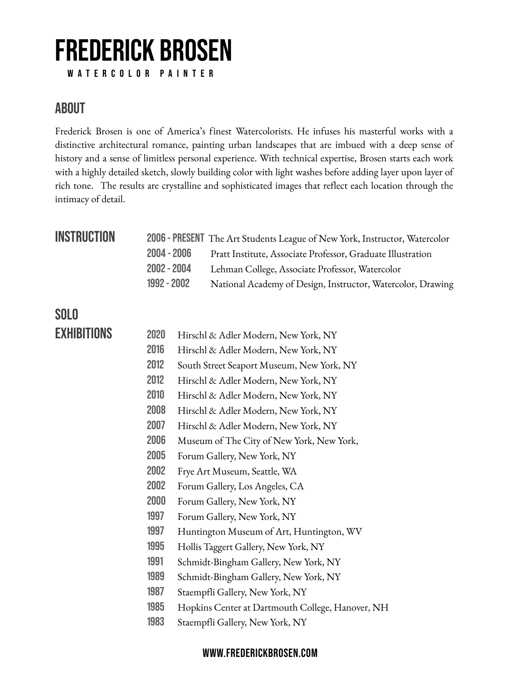# **FREDERICK BROSEN**

 **WATERCOLOR PAINTER**

### **ABOUT**

Frederick Brosen is one of America's finest Watercolorists. He infuses his masterful works with a distinctive architectural romance, painting urban landscapes that are imbued with a deep sense of history and a sense of limitless personal experience. With technical expertise, Brosen starts each work with a highly detailed sketch, slowly building color with light washes before adding layer upon layer of rich tone. The results are crystalline and sophisticated images that reflect each location through the intimacy of detail.

### **INSTRUCTION**

| INS I KUG I IUN |               | 2006 - PRESENT The Art Students League of New York, Instructor, Watercolor |
|-----------------|---------------|----------------------------------------------------------------------------|
|                 | $2004 - 2006$ | Pratt Institute, Associate Professor, Graduate Illustration                |
|                 | $2002 - 2004$ | Lehman College, Associate Professor, Watercolor                            |
|                 | $1992 - 2002$ | National Academy of Design, Instructor, Watercolor, Drawing                |

### **SOLO**

| <b>EXHIBITIONS</b> | 2020 | Hirschl & Adler Modern, New York, NY             |
|--------------------|------|--------------------------------------------------|
|                    | 2016 | Hirschl & Adler Modern, New York, NY             |
|                    | 2012 | South Street Seaport Museum, New York, NY        |
|                    | 2012 | Hirschl & Adler Modern, New York, NY             |
|                    | 2010 | Hirschl & Adler Modern, New York, NY             |
|                    | 2008 | Hirschl & Adler Modern, New York, NY             |
|                    | 2007 | Hirschl & Adler Modern, New York, NY             |
|                    | 2006 | Museum of The City of New York, New York,        |
|                    | 2005 | Forum Gallery, New York, NY                      |
|                    | 2002 | Frye Art Museum, Seattle, WA                     |
|                    | 2002 | Forum Gallery, Los Angeles, CA                   |
|                    | 2000 | Forum Gallery, New York, NY                      |
|                    | 1997 | Forum Gallery, New York, NY                      |
|                    | 1997 | Huntington Museum of Art, Huntington, WV         |
|                    | 1995 | Hollis Taggert Gallery, New York, NY             |
|                    | 1991 | Schmidt-Bingham Gallery, New York, NY            |
|                    | 1989 | Schmidt-Bingham Gallery, New York, NY            |
|                    | 1987 | Staempfli Gallery, New York, NY                  |
|                    | 1985 | Hopkins Center at Dartmouth College, Hanover, NH |
|                    | 1983 | Staempfli Gallery, New York, NY                  |
|                    |      |                                                  |

#### **[WWW.FREDERICKBROSEN.COM](http://WWW.FREDERICKBROSEN.COM)**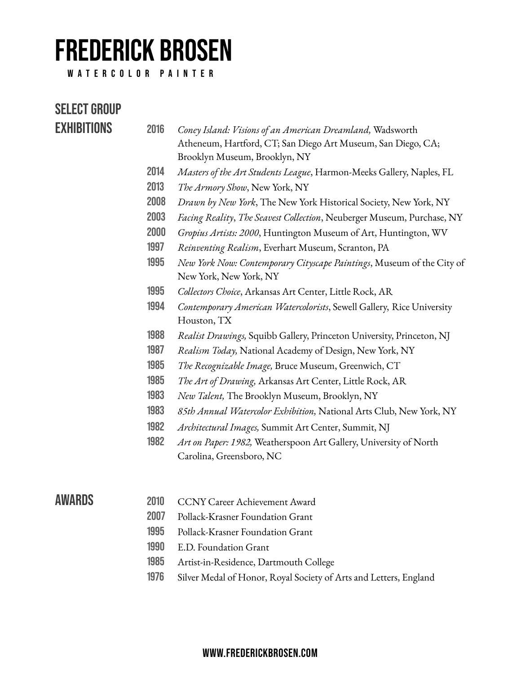## **FREDERICK BROSEN**

 **WATERCOLOR PAINTER**

| Select Group       |      |                                                                                                                                                            |
|--------------------|------|------------------------------------------------------------------------------------------------------------------------------------------------------------|
| <b>EXHIBITIONS</b> | 2016 | Coney Island: Visions of an American Dreamland, Wadsworth<br>Atheneum, Hartford, CT; San Diego Art Museum, San Diego, CA;<br>Brooklyn Museum, Brooklyn, NY |
|                    | 2014 | Masters of the Art Students League, Harmon-Meeks Gallery, Naples, FL                                                                                       |
|                    | 2013 | The Armory Show, New York, NY                                                                                                                              |
|                    | 2008 | Drawn by New York, The New York Historical Society, New York, NY                                                                                           |
|                    | 2003 | Facing Reality, The Seavest Collection, Neuberger Museum, Purchase, NY                                                                                     |
|                    | 2000 | Gropius Artists: 2000, Huntington Museum of Art, Huntington, WV                                                                                            |
|                    | 1997 | Reinventing Realism, Everhart Museum, Scranton, PA                                                                                                         |
|                    | 1995 | New York Now: Contemporary Cityscape Paintings, Museum of the City of<br>New York, New York, NY                                                            |
|                    | 1995 | Collectors Choice, Arkansas Art Center, Little Rock, AR                                                                                                    |
|                    | 1994 | Contemporary American Watercolorists, Sewell Gallery, Rice University<br>Houston, TX                                                                       |
|                    | 1988 | Realist Drawings, Squibb Gallery, Princeton University, Princeton, NJ                                                                                      |
|                    | 1987 | Realism Today, National Academy of Design, New York, NY                                                                                                    |
|                    | 1985 | The Recognizable Image, Bruce Museum, Greenwich, CT                                                                                                        |
|                    | 1985 | The Art of Drawing, Arkansas Art Center, Little Rock, AR                                                                                                   |
|                    | 1983 | New Talent, The Brooklyn Museum, Brooklyn, NY                                                                                                              |
|                    | 1983 | 85th Annual Watercolor Exhibition, National Arts Club, New York, NY                                                                                        |
|                    | 1982 | Architectural Images, Summit Art Center, Summit, NJ                                                                                                        |
|                    | 1982 | Art on Paper: 1982, Weatherspoon Art Gallery, University of North                                                                                          |
|                    |      | Carolina, Greensboro, NC                                                                                                                                   |
| AWARDS             | 2010 | <b>CCNY Career Achievement Award</b>                                                                                                                       |
|                    | 2007 | Pollack-Krasner Foundation Grant                                                                                                                           |
|                    | 1995 | Pollack-Krasner Foundation Grant                                                                                                                           |

- **1990** E.D. Foundation Grant
- **1985** Artist-in-Residence, Dartmouth College
- **1976** Silver Medal of Honor, Royal Society of Arts and Letters, England

#### **[WWW.FREDERICKBROSEN.COM](http://WWW.FREDERICKBROSEN.COM)**